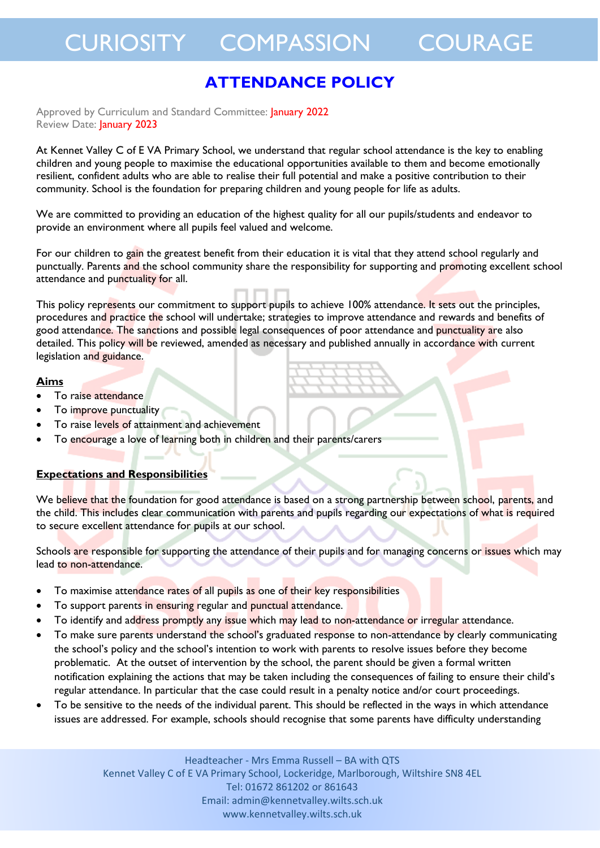### **ATTENDANCE POLICY**

Approved by Curriculum and Standard Committee: January 2022 Review Date: January 2023

At Kennet Valley C of E VA Primary School, we understand that regular school attendance is the key to enabling children and young people to maximise the educational opportunities available to them and become emotionally resilient, confident adults who are able to realise their full potential and make a positive contribution to their community. School is the foundation for preparing children and young people for life as adults.

We are committed to providing an education of the highest quality for all our pupils/students and endeavor to provide an environment where all pupils feel valued and welcome.

For our children to gain the greatest benefit from their education it is vital that they attend school regularly and punctually. Parents and the school community share the responsibility for supporting and promoting excellent school attendance and punctuality for all.

This policy represents our commitment to support pupils to achieve 100% attendance. It sets out the principles, procedures and practice the school will undertake; strategies to improve attendance and rewards and benefits of good attendance. The sanctions and possible legal consequences of poor attendance and punctuality are also detailed. This policy will be reviewed, amended as necessary and published annually in accordance with current legislation and guidance.

#### **Aims**

- To raise attendance
- To improve punctuality
- To raise levels of attainment and achievement
- To encourage a love of learning both in children and their parents/carers

#### **Expectations and Responsibilities**

We believe that the foundation for good attendance is based on a strong partnership between school, parents, and the child. This includes clear communication with parents and pupils regarding our expectations of what is required to secure excellent attendance for pupils at our school.

Schools are responsible for supporting the attendance of their pupils and for managing concerns or issues which may lead to non-attendance.

- To maximise attendance rates of all pupils as one of their key responsibilities
- To support parents in ensuring regular and punctual attendance.
- To identify and address promptly any issue which may lead to non-attendance or irregular attendance.
- To make sure parents understand the school's graduated response to non-attendance by clearly communicating the school's policy and the school's intention to work with parents to resolve issues before they become problematic. At the outset of intervention by the school, the parent should be given a formal written notification explaining the actions that may be taken including the consequences of failing to ensure their child's regular attendance. In particular that the case could result in a penalty notice and/or court proceedings.
- To be sensitive to the needs of the individual parent. This should be reflected in the ways in which attendance issues are addressed. For example, schools should recognise that some parents have difficulty understanding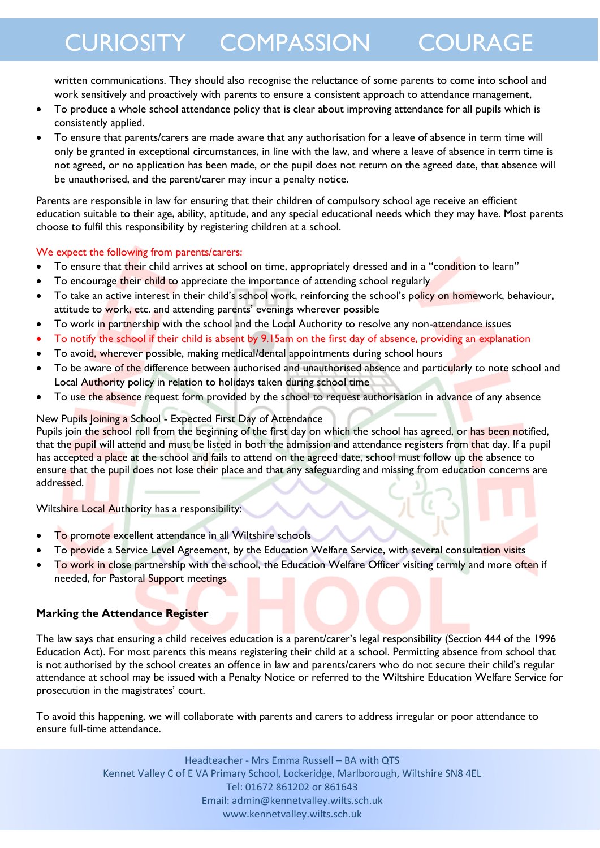written communications. They should also recognise the reluctance of some parents to come into school and work sensitively and proactively with parents to ensure a consistent approach to attendance management,

- To produce a whole school attendance policy that is clear about improving attendance for all pupils which is consistently applied.
- To ensure that parents/carers are made aware that any authorisation for a leave of absence in term time will only be granted in exceptional circumstances, in line with the law, and where a leave of absence in term time is not agreed, or no application has been made, or the pupil does not return on the agreed date, that absence will be unauthorised, and the parent/carer may incur a penalty notice.

Parents are responsible in law for ensuring that their children of compulsory school age receive an efficient education suitable to their age, ability, aptitude, and any special educational needs which they may have. Most parents choose to fulfil this responsibility by registering children at a school.

#### We expect the following from parents/carers:

- To ensure that their child arrives at school on time, appropriately dressed and in a "condition to learn"
- To encourage their child to appreciate the importance of attending school regularly
- To take an active interest in their child's school work, reinforcing the school's policy on homework, behaviour, attitude to work, etc. and attending parents' evenings wherever possible
- To work in partnership with the school and the Local Authority to resolve any non-attendance issues
- To notify the school if their child is absent by 9.15am on the first day of absence, providing an explanation
- To avoid, wherever possible, making medical/dental appointments during school hours
- To be aware of the difference between authorised and unauthorised absence and particularly to note school and Local Authority policy in relation to holidays taken during school time
- To use the absence request form provided by the school to request authorisation in advance of any absence

#### New Pupils Joining a School - Expected First Day of Attendance

Pupils join the school roll from the beginning of the first day on which the school has agreed, or has been notified, that the pupil will attend and must be listed in both the admission and attendance registers from that day. If a pupil has accepted a place at the school and fails to attend on the agreed date, school must follow up the absence to ensure that the pupil does not lose their place and that any safeguarding and missing from education concerns are addressed.

Wiltshire Local Authority has a responsibility:

- To promote excellent attendance in all Wiltshire schools
- To provide a Service Level Agreement, by the Education Welfare Service, with several consultation visits
- To work in close partnership with the school, the Education Welfare Officer visiting termly and more often if needed, for Pastoral Support meetings

#### **Marking the Attendance Register**

The law says that ensuring a child receives education is a parent/carer's legal responsibility (Section 444 of the 1996 Education Act). For most parents this means registering their child at a school. Permitting absence from school that is not authorised by the school creates an offence in law and parents/carers who do not secure their child's regular attendance at school may be issued with a Penalty Notice or referred to the Wiltshire Education Welfare Service for prosecution in the magistrates' court.

To avoid this happening, we will collaborate with parents and carers to address irregular or poor attendance to ensure full-time attendance.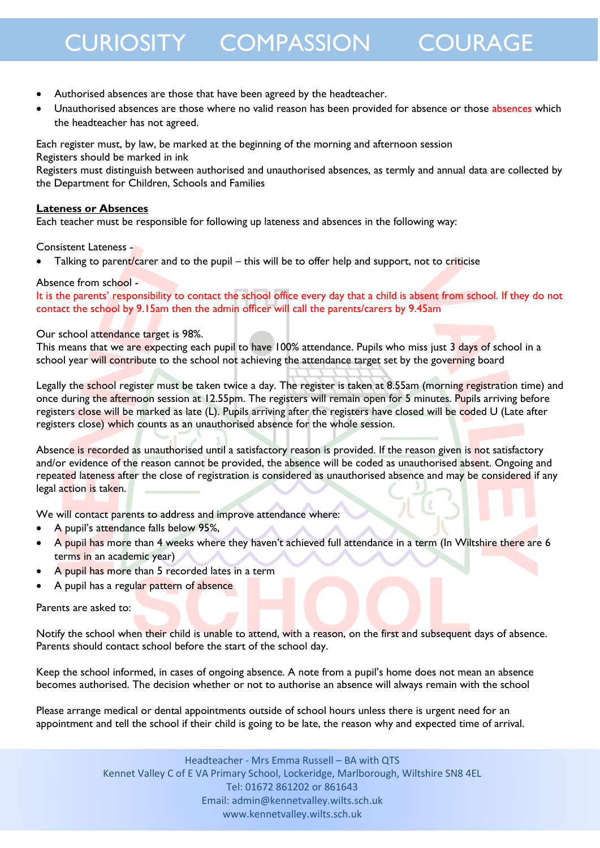- Authorised absences are those that have been agreed by the headteacher.
- Unauthorised absences are those where no valid reason has been provided for absence or those absences which the headteacher has not agreed.

Each register must, by law, be marked at the beginning of the morning and afternoon session Registers should be marked in ink

Registers must distinguish between authorised and unauthorised absences, as termly and annual data are collected by the Department for Children, Schools and Families

#### **Lateness or Absences**

Each teacher must be responsible for following up lateness and absences in the following way:

Consistent Lateness -

Talking to parent/carer and to the pupil – this will be to offer help and support, not to criticise

#### Absence from school -

It is the parents' responsibility to contact the school office every day that a child is absent from school. If they do not contact the school by 9.15am then the admin officer will call the parents/carers by 9.45am

#### Our school attendance target is 98%.

This means that we are expecting each pupil to have 100% attendance. Pupils who miss just 3 days of school in a school year will contribute to the school not achieving the attendance target set by the governing board

Legally the school register must be taken twice a day. The register is taken at 8.55am (morning registration time) and once during the afternoon session at 12.55pm. The registers will remain open for 5 minutes. Pupils arriving before registers close will be marked as late (L). Pupils arriving after the registers have closed will be coded U (Late after registers close) which counts as an unauthorised absence for the whole session.

Absence is recorded as unauthorised until a satisfactory reason is provided. If the reason given is not satisfactory and/or evidence of the reason cannot be provided, the absence will be coded as unauthorised absent. Ongoing and repeated lateness after the close of registration is considered as unauthorised absence and may be considered if any legal action is taken.

We will contact parents to address and improve attendance where:

- A pupil's attendance falls below 95%,
- A pupil has more than 4 weeks where they haven't achieved full attendance in a term (In Wiltshire there are 6 terms in an academic year)
- A pupil has more than 5 recorded lates in a term
- A pupil has a regular pattern of absence

Parents are asked to:

Notify the school when their child is unable to attend, with a reason, on the first and subsequent days of absence. Parents should contact school before the start of the school day.

Keep the school informed, in cases of ongoing absence. A note from a pupil's home does not mean an absence becomes authorised. The decision whether or not to authorise an absence will always remain with the school

Please arrange medical or dental appointments outside of school hours unless there is urgent need for an appointment and tell the school if their child is going to be late, the reason why and expected time of arrival.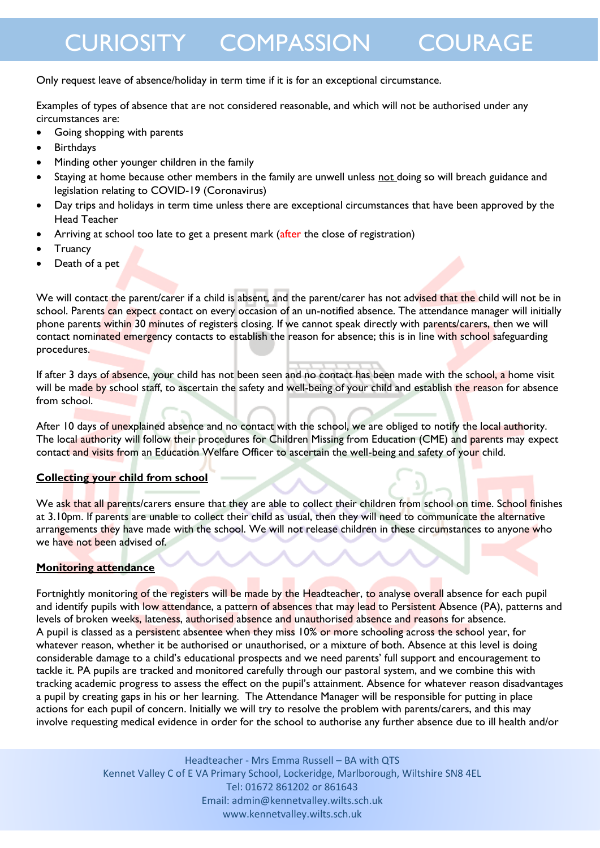Only request leave of absence/holiday in term time if it is for an exceptional circumstance.

Examples of types of absence that are not considered reasonable, and which will not be authorised under any circumstances are:

- Going shopping with parents
- Birthdays
- Minding other younger children in the family
- Staying at home because other members in the family are unwell unless not doing so will breach guidance and legislation relating to COVID-19 (Coronavirus)
- Day trips and holidays in term time unless there are exceptional circumstances that have been approved by the Head Teacher
- Arriving at school too late to get a present mark (after the close of registration)
- **Truancy**
- Death of a pet

We will contact the parent/carer if a child is absent, and the parent/carer has not advised that the child will not be in school. Parents can expect contact on every occasion of an un-notified absence. The attendance manager will initially phone parents within 30 minutes of registers closing. If we cannot speak directly with parents/carers, then we will contact nominated emergency contacts to establish the reason for absence; this is in line with school safeguarding procedures.

If after 3 days of absence, your child has not been seen and no contact has been made with the school, a home visit will be made by school staff, to ascertain the safety and well-being of your child and establish the reason for absence from school.

After 10 days of unexplained absence and no contact with the school, we are obliged to notify the local authority. The local authority will follow their procedures for Children Missing from Education (CME) and parents may expect contact and visits from an Education Welfare Officer to ascertain the well-being and safety of your child.

#### **Collecting your child from school**

We ask that all parents/carers ensure that they are able to collect their children from school on time. School finishes at 3.10pm. If parents are unable to collect their child as usual, then they will need to communicate the alternative arrangements they have made with the school. We will not release children in these circumstances to anyone who we have not been advised of.

#### **Monitoring attendance**

Fortnightly monitoring of the registers will be made by the Headteacher, to analyse overall absence for each pupil and identify pupils with low attendance, a pattern of absences that may lead to Persistent Absence (PA), patterns and levels of broken weeks, lateness, authorised absence and unauthorised absence and reasons for absence. A pupil is classed as a persistent absentee when they miss 10% or more schooling across the school year, for whatever reason, whether it be authorised or unauthorised, or a mixture of both. Absence at this level is doing considerable damage to a child's educational prospects and we need parents' full support and encouragement to tackle it. PA pupils are tracked and monitored carefully through our pastoral system, and we combine this with tracking academic progress to assess the effect on the pupil's attainment. Absence for whatever reason disadvantages a pupil by creating gaps in his or her learning. The Attendance Manager will be responsible for putting in place actions for each pupil of concern. Initially we will try to resolve the problem with parents/carers, and this may involve requesting medical evidence in order for the school to authorise any further absence due to ill health and/or